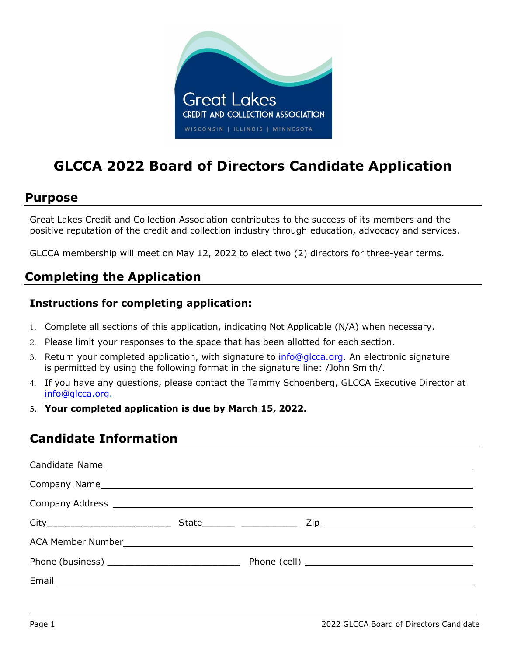

# **GLCCA 2022 Board of Directors Candidate Application**

### **Purpose**

Great Lakes Credit and Collection Association contributes to the success of its members and the positive reputation of the credit and collection industry through education, advocacy and services.

GLCCA membership will meet on May 12, 2022 to elect two (2) directors for three-year terms.

# **Completing the Application**

#### **Instructions for completing application:**

- 1. Complete all sections of this application, indicating Not Applicable (N/A) when necessary.
- 2. Please limit your responses to the space that has been allotted for each section.
- 3. Return your completed application, with signature to [info@glcca.org.](mailto:info@glcca.org) An electronic signature is permitted by using the following format in the signature line: /John Smith/.
- 4. If you have any questions, please contact the Tammy Schoenberg, GLCCA Executive Director at [info@glcca.org.](mailto:info@glcca.org)
- **5. Your completed application is due by March 15, 2022.**

## **Candidate Information**

| Phone (business) __________________________________ |  |
|-----------------------------------------------------|--|
|                                                     |  |
|                                                     |  |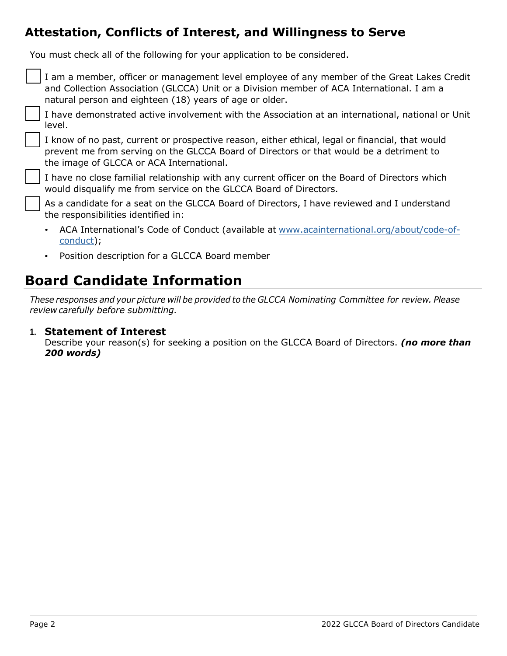## **Attestation, Conflicts of Interest, and Willingness to Serve**

You must check all of the following for your application to be considered.

| I am a member, officer or management level employee of any member of the Great Lakes Credit<br>and Collection Association (GLCCA) Unit or a Division member of ACA International. I am a<br>natural person and eighteen (18) years of age or older. |
|-----------------------------------------------------------------------------------------------------------------------------------------------------------------------------------------------------------------------------------------------------|
| I have demonstrated active involvement with the Association at an international, national or Unit<br>level.                                                                                                                                         |
| I know of no past, current or prospective reason, either ethical, legal or financial, that would<br>prevent me from serving on the GLCCA Board of Directors or that would be a detriment to<br>the image of GLCCA or ACA International.             |
| I have no close familial relationship with any current officer on the Board of Directors which<br>would disqualify me from service on the GLCCA Board of Directors.                                                                                 |
| As a candidate for a seat on the GLCCA Board of Directors, I have reviewed and I understand<br>the responsibilities identified in:                                                                                                                  |
| ACA International's Code of Conduct (available at www.acainternational.org/about/code-of-<br>$\bullet$<br>conduct);                                                                                                                                 |

• Position description for a GLCCA Board member

# **Board Candidate Information**

*These responses and your picture will be provided to the GLCCA Nominating Committee for review. Please review carefully before submitting.* 

#### **1. Statement of Interest**

Describe your reason(s) for seeking a position on the GLCCA Board of Directors. *(no more than 200 words)*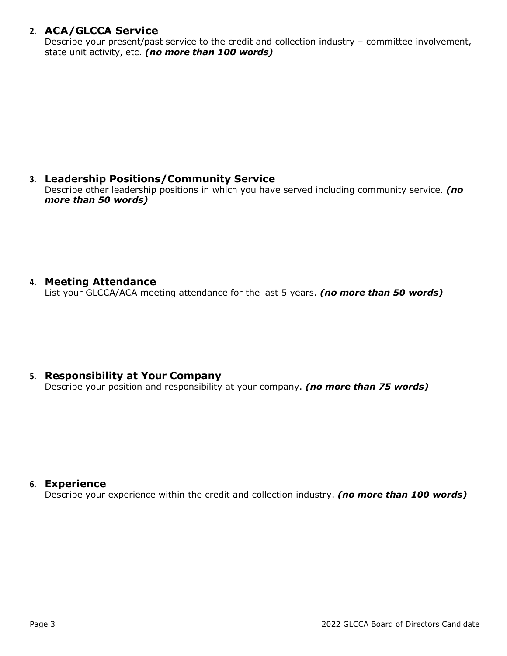#### **2. ACA/GLCCA Service**

Describe your present/past service to the credit and collection industry – committee involvement, state unit activity, etc. *(no more than 100 words)*

### **3. Leadership Positions/Community Service**

Describe other leadership positions in which you have served including community service. *(no more than 50 words)*

#### **4. Meeting Attendance**

List your GLCCA/ACA meeting attendance for the last 5 years. *(no more than 50 words)*

#### **5. Responsibility at Your Company**

Describe your position and responsibility at your company. *(no more than 75 words)*

#### **6. Experience**

Describe your experience within the credit and collection industry. *(no more than 100 words)*